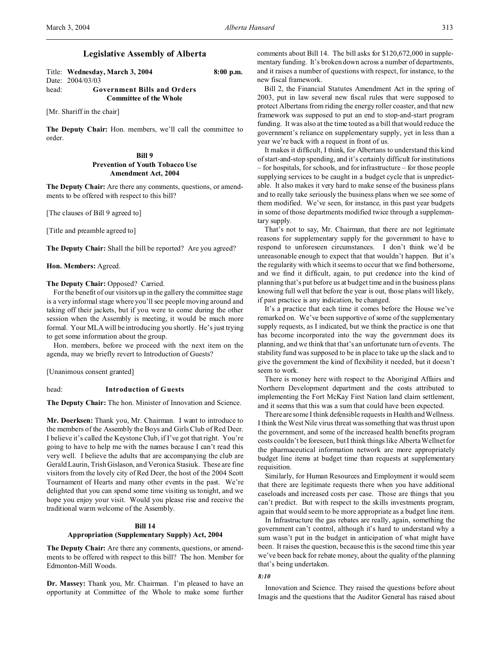## **Legislative Assembly of Alberta**

Title: **Wednesday, March 3, 2004 8:00 p.m.** Date: 2004/03/03 head: **Government Bills and Orders Committee of the Whole**

[Mr. Shariff in the chair]

**The Deputy Chair:** Hon. members, we'll call the committee to order.

## **Bill 9 Prevention of Youth Tobacco Use Amendment Act, 2004**

**The Deputy Chair:** Are there any comments, questions, or amendments to be offered with respect to this bill?

[The clauses of Bill 9 agreed to]

[Title and preamble agreed to]

**The Deputy Chair:** Shall the bill be reported? Are you agreed?

**Hon. Members:** Agreed.

## **The Deputy Chair:** Opposed? Carried.

For the benefit of our visitors up in the gallery the committee stage is a very informal stage where you'll see people moving around and taking off their jackets, but if you were to come during the other session when the Assembly is meeting, it would be much more formal. Your MLA will be introducing you shortly. He's just trying to get some information about the group.

Hon. members, before we proceed with the next item on the agenda, may we briefly revert to Introduction of Guests?

[Unanimous consent granted]

### head: **Introduction of Guests**

**The Deputy Chair:** The hon. Minister of Innovation and Science.

**Mr. Doerksen:** Thank you, Mr. Chairman. I want to introduce to the members of the Assembly the Boys and Girls Club of Red Deer. I believe it's called the Keystone Club, if I've got that right. You're going to have to help me with the names because I can't read this very well. I believe the adults that are accompanying the club are Gerald Laurin, Trish Gislason, and Veronica Stasiuk. These are fine visitors from the lovely city of Red Deer, the host of the 2004 Scott Tournament of Hearts and many other events in the past. We're delighted that you can spend some time visiting us tonight, and we hope you enjoy your visit. Would you please rise and receive the traditional warm welcome of the Assembly.

## **Bill 14**

### **Appropriation (Supplementary Supply) Act, 2004**

**The Deputy Chair:** Are there any comments, questions, or amendments to be offered with respect to this bill? The hon. Member for Edmonton-Mill Woods.

**Dr. Massey:** Thank you, Mr. Chairman. I'm pleased to have an opportunity at Committee of the Whole to make some further comments about Bill 14. The bill asks for \$120,672,000 in supplementary funding. It's broken down across a number of departments, and it raises a number of questions with respect, for instance, to the new fiscal framework.

Bill 2, the Financial Statutes Amendment Act in the spring of 2003, put in law several new fiscal rules that were supposed to protect Albertans from riding the energy roller coaster, and that new framework was supposed to put an end to stop-and-start program funding. It was also at the time touted as a bill that would reduce the government's reliance on supplementary supply, yet in less than a year we're back with a request in front of us.

It makes it difficult, I think, for Albertans to understand this kind of start-and-stop spending, and it's certainly difficult for institutions – for hospitals, for schools, and for infrastructure – for those people supplying services to be caught in a budget cycle that is unpredictable. It also makes it very hard to make sense of the business plans and to really take seriously the business plans when we see some of them modified. We've seen, for instance, in this past year budgets in some of those departments modified twice through a supplementary supply.

That's not to say, Mr. Chairman, that there are not legitimate reasons for supplementary supply for the government to have to respond to unforeseen circumstances. I don't think we'd be unreasonable enough to expect that that wouldn't happen. But it's the regularity with which it seems to occur that we find bothersome, and we find it difficult, again, to put credence into the kind of planning that's put before us at budget time and in the business plans knowing full well that before the year is out, those plans will likely, if past practice is any indication, be changed.

It's a practice that each time it comes before the House we've remarked on. We've been supportive of some of the supplementary supply requests, as I indicated, but we think the practice is one that has become incorporated into the way the government does its planning, and we think that that's an unfortunate turn of events. The stability fund was supposed to be in place to take up the slack and to give the government the kind of flexibility it needed, but it doesn't seem to work.

There is money here with respect to the Aboriginal Affairs and Northern Development department and the costs attributed to implementing the Fort McKay First Nation land claim settlement, and it seems that this was a sum that could have been expected.

There are some I think defensible requests in Health and Wellness. I think the West Nile virus threat was something that was thrust upon the government, and some of the increased health benefits program costs couldn't be foreseen, but I think things like Alberta Wellnet for the pharmaceutical information network are more appropriately budget line items at budget time than requests at supplementary requisition.

Similarly, for Human Resources and Employment it would seem that there are legitimate requests there when you have additional caseloads and increased costs per case. Those are things that you can't predict. But with respect to the skills investments program, again that would seem to be more appropriate as a budget line item.

In Infrastructure the gas rebates are really, again, something the government can't control, although it's hard to understand why a sum wasn't put in the budget in anticipation of what might have been. It raises the question, because this is the second time this year we've been back for rebate money, about the quality of the planning that's being undertaken.

## *8:10*

Innovation and Science. They raised the questions before about Imagis and the questions that the Auditor General has raised about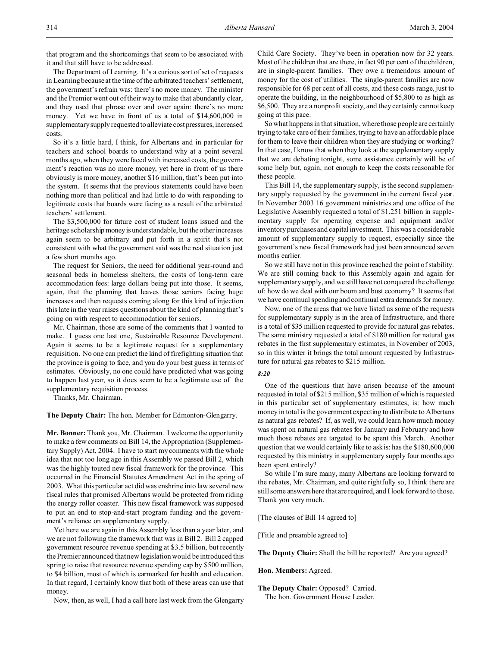that program and the shortcomings that seem to be associated with it and that still have to be addressed.

The Department of Learning. It's a curious sort of set of requests in Learning because at the time of the arbitrated teachers' settlement, the government's refrain was: there's no more money. The minister and the Premier went out of their way to make that abundantly clear, and they used that phrase over and over again: there's no more money. Yet we have in front of us a total of \$14,600,000 in supplementary supply requested to alleviate cost pressures, increased costs.

So it's a little hard, I think, for Albertans and in particular for teachers and school boards to understand why at a point several months ago, when they were faced with increased costs, the government's reaction was no more money, yet here in front of us there obviously is more money, another \$16 million, that's been put into the system. It seems that the previous statements could have been nothing more than political and had little to do with responding to legitimate costs that boards were facing as a result of the arbitrated teachers' settlement.

The \$3,500,000 for future cost of student loans issued and the heritage scholarship money is understandable, but the other increases again seem to be arbitrary and put forth in a spirit that's not consistent with what the government said was the real situation just a few short months ago.

The request for Seniors, the need for additional year-round and seasonal beds in homeless shelters, the costs of long-term care accommodation fees: large dollars being put into those. It seems, again, that the planning that leaves those seniors facing huge increases and then requests coming along for this kind of injection this late in the year raises questions about the kind of planning that's going on with respect to accommodation for seniors.

Mr. Chairman, those are some of the comments that I wanted to make. I guess one last one, Sustainable Resource Development. Again it seems to be a legitimate request for a supplementary requisition. No one can predict the kind of firefighting situation that the province is going to face, and you do your best guess in terms of estimates. Obviously, no one could have predicted what was going to happen last year, so it does seem to be a legitimate use of the supplementary requisition process.

Thanks, Mr. Chairman.

**The Deputy Chair:** The hon. Member for Edmonton-Glengarry.

**Mr. Bonner:**Thank you, Mr. Chairman. I welcome the opportunity to make a few comments on Bill 14, the Appropriation (Supplementary Supply) Act, 2004. I have to start my comments with the whole idea that not too long ago in this Assembly we passed Bill 2, which was the highly touted new fiscal framework for the province. This occurred in the Financial Statutes Amendment Act in the spring of 2003. What this particular act did was enshrine into law several new fiscal rules that promised Albertans would be protected from riding the energy roller coaster. This new fiscal framework was supposed to put an end to stop-and-start program funding and the government's reliance on supplementary supply.

Yet here we are again in this Assembly less than a year later, and we are not following the framework that was in Bill 2. Bill 2 capped government resource revenue spending at \$3.5 billion, but recently the Premier announced that new legislation would be introduced this spring to raise that resource revenue spending cap by \$500 million, to \$4 billion, most of which is earmarked for health and education. In that regard, I certainly know that both of these areas can use that money.

Now, then, as well, I had a call here last week from the Glengarry

Child Care Society. They've been in operation now for 32 years. Most of the children that are there, in fact 90 per cent of the children, are in single-parent families. They owe a tremendous amount of money for the cost of utilities. The single-parent families are now responsible for 68 per cent of all costs, and these costs range, just to operate the building, in the neighbourhood of \$5,800 to as high as \$6,500. They are a nonprofit society, and they certainly cannot keep going at this pace.

So what happens in that situation, where those people are certainly trying to take care of their families, trying to have an affordable place for them to leave their children when they are studying or working? In that case, I know that when they look at the supplementary supply that we are debating tonight, some assistance certainly will be of some help but, again, not enough to keep the costs reasonable for these people.

This Bill 14, the supplementary supply, is the second supplementary supply requested by the government in the current fiscal year. In November 2003 16 government ministries and one office of the Legislative Assembly requested a total of \$1.251 billion in supplementary supply for operating expense and equipment and/or inventory purchases and capital investment. This was a considerable amount of supplementary supply to request, especially since the government's new fiscal framework had just been announced seven months earlier.

So we still have not in this province reached the point of stability. We are still coming back to this Assembly again and again for supplementary supply, and we still have not conquered the challenge of: how do we deal with our boom and bust economy? It seems that we have continual spending and continual extra demands for money.

Now, one of the areas that we have listed as some of the requests for supplementary supply is in the area of Infrastructure, and there is a total of \$35 million requested to provide for natural gas rebates. The same ministry requested a total of \$180 million for natural gas rebates in the first supplementary estimates, in November of 2003, so in this winter it brings the total amount requested by Infrastructure for natural gas rebates to \$215 million.

## *8:20*

One of the questions that have arisen because of the amount requested in total of \$215 million, \$35 million of which is requested in this particular set of supplementary estimates, is: how much money in total is the government expecting to distribute to Albertans as natural gas rebates? If, as well, we could learn how much money was spent on natural gas rebates for January and February and how much those rebates are targeted to be spent this March. Another question that we would certainly like to ask is: has the \$180,600,000 requested by this ministry in supplementary supply four months ago been spent entirely?

So while I'm sure many, many Albertans are looking forward to the rebates, Mr. Chairman, and quite rightfully so, I think there are still some answers here that are required, and I look forward to those. Thank you very much.

[The clauses of Bill 14 agreed to]

[Title and preamble agreed to]

**The Deputy Chair:** Shall the bill be reported? Are you agreed?

#### **Hon. Members:** Agreed.

**The Deputy Chair:** Opposed? Carried. The hon. Government House Leader.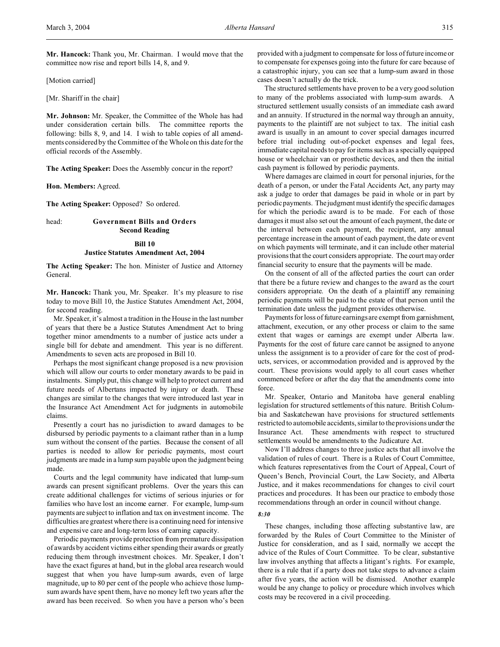**Mr. Hancock:** Thank you, Mr. Chairman. I would move that the committee now rise and report bills 14, 8, and 9.

[Motion carried]

[Mr. Shariff in the chair]

**Mr. Johnson:** Mr. Speaker, the Committee of the Whole has had under consideration certain bills. The committee reports the following: bills 8, 9, and 14. I wish to table copies of all amendments considered by the Committee of the Whole on this date for the official records of the Assembly.

**The Acting Speaker:** Does the Assembly concur in the report?

**Hon. Members:** Agreed.

**The Acting Speaker:** Opposed? So ordered.

## head: **Government Bills and Orders Second Reading**

## **Bill 10 Justice Statutes Amendment Act, 2004**

**The Acting Speaker:** The hon. Minister of Justice and Attorney General.

**Mr. Hancock:** Thank you, Mr. Speaker. It's my pleasure to rise today to move Bill 10, the Justice Statutes Amendment Act, 2004, for second reading.

Mr. Speaker, it's almost a tradition in the House in the last number of years that there be a Justice Statutes Amendment Act to bring together minor amendments to a number of justice acts under a single bill for debate and amendment. This year is no different. Amendments to seven acts are proposed in Bill 10.

Perhaps the most significant change proposed is a new provision which will allow our courts to order monetary awards to be paid in instalments. Simply put, this change will help to protect current and future needs of Albertans impacted by injury or death. These changes are similar to the changes that were introduced last year in the Insurance Act Amendment Act for judgments in automobile claims.

Presently a court has no jurisdiction to award damages to be disbursed by periodic payments to a claimant rather than in a lump sum without the consent of the parties. Because the consent of all parties is needed to allow for periodic payments, most court judgments are made in a lump sum payable upon the judgment being made.

Courts and the legal community have indicated that lump-sum awards can present significant problems. Over the years this can create additional challenges for victims of serious injuries or for families who have lost an income earner. For example, lump-sum payments are subject to inflation and tax on investment income. The difficulties are greatest where there is a continuing need for intensive and expensive care and long-term loss of earning capacity.

Periodic payments provide protection from premature dissipation of awards by accident victims either spending their awards or greatly reducing them through investment choices. Mr. Speaker, I don't have the exact figures at hand, but in the global area research would suggest that when you have lump-sum awards, even of large magnitude, up to 80 per cent of the people who achieve those lumpsum awards have spent them, have no money left two years after the award has been received. So when you have a person who's been

provided with a judgment to compensate for loss of future income or to compensate for expenses going into the future for care because of a catastrophic injury, you can see that a lump-sum award in those cases doesn't actually do the trick.

The structured settlements have proven to be a very good solution to many of the problems associated with lump-sum awards. A structured settlement usually consists of an immediate cash award and an annuity. If structured in the normal way through an annuity, payments to the plaintiff are not subject to tax. The initial cash award is usually in an amount to cover special damages incurred before trial including out-of-pocket expenses and legal fees, immediate capital needs to pay for items such as a specially equipped house or wheelchair van or prosthetic devices, and then the initial cash payment is followed by periodic payments.

Where damages are claimed in court for personal injuries, for the death of a person, or under the Fatal Accidents Act, any party may ask a judge to order that damages be paid in whole or in part by periodic payments. The judgment must identify the specific damages for which the periodic award is to be made. For each of those damages it must also set out the amount of each payment, the date or the interval between each payment, the recipient, any annual percentage increase in the amount of each payment, the date or event on which payments will terminate, and it can include other material provisions that the court considers appropriate. The court may order financial security to ensure that the payments will be made.

On the consent of all of the affected parties the court can order that there be a future review and changes to the award as the court considers appropriate. On the death of a plaintiff any remaining periodic payments will be paid to the estate of that person until the termination date unless the judgment provides otherwise.

Payments for loss of future earnings are exempt from garnishment, attachment, execution, or any other process or claim to the same extent that wages or earnings are exempt under Alberta law. Payments for the cost of future care cannot be assigned to anyone unless the assignment is to a provider of care for the cost of products, services, or accommodation provided and is approved by the court. These provisions would apply to all court cases whether commenced before or after the day that the amendments come into force.

Mr. Speaker, Ontario and Manitoba have general enabling legislation for structured settlements of this nature. British Columbia and Saskatchewan have provisions for structured settlements restricted to automobile accidents, similar to the provisions under the Insurance Act. These amendments with respect to structured settlements would be amendments to the Judicature Act.

Now I'll address changes to three justice acts that all involve the validation of rules of court. There is a Rules of Court Committee, which features representatives from the Court of Appeal, Court of Queen's Bench, Provincial Court, the Law Society, and Alberta Justice, and it makes recommendations for changes to civil court practices and procedures. It has been our practice to embody those recommendations through an order in council without change.

#### *8:30*

These changes, including those affecting substantive law, are forwarded by the Rules of Court Committee to the Minister of Justice for consideration, and as I said, normally we accept the advice of the Rules of Court Committee. To be clear, substantive law involves anything that affects a litigant's rights. For example, there is a rule that if a party does not take steps to advance a claim after five years, the action will be dismissed. Another example would be any change to policy or procedure which involves which costs may be recovered in a civil proceeding.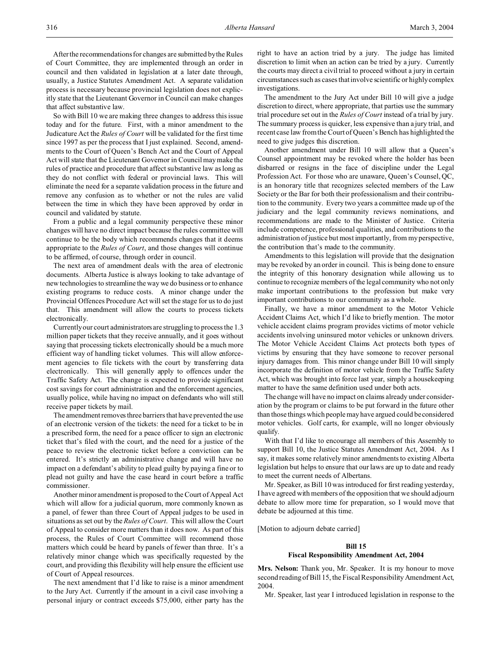After the recommendations for changes are submitted by the Rules of Court Committee, they are implemented through an order in council and then validated in legislation at a later date through, usually, a Justice Statutes Amendment Act. A separate validation process is necessary because provincial legislation does not explicitly state that the Lieutenant Governor in Council can make changes that affect substantive law.

So with Bill 10 we are making three changes to address this issue today and for the future. First, with a minor amendment to the Judicature Act the *Rules of Court* will be validated for the first time since 1997 as per the process that I just explained. Second, amendments to the Court of Queen's Bench Act and the Court of Appeal Act will state that the Lieutenant Governor in Council may make the rules of practice and procedure that affect substantive law as long as they do not conflict with federal or provincial laws. This will eliminate the need for a separate validation process in the future and remove any confusion as to whether or not the rules are valid between the time in which they have been approved by order in council and validated by statute.

From a public and a legal community perspective these minor changes will have no direct impact because the rules committee will continue to be the body which recommends changes that it deems appropriate to the *Rules of Court*, and those changes will continue to be affirmed, of course, through order in council.

The next area of amendment deals with the area of electronic documents. Alberta Justice is always looking to take advantage of new technologies to streamline the way we do business or to enhance existing programs to reduce costs. A minor change under the Provincial Offences Procedure Act will set the stage for us to do just that. This amendment will allow the courts to process tickets electronically.

Currently our court administrators are struggling to process the 1.3 million paper tickets that they receive annually, and it goes without saying that processing tickets electronically should be a much more efficient way of handling ticket volumes. This will allow enforcement agencies to file tickets with the court by transferring data electronically. This will generally apply to offences under the Traffic Safety Act. The change is expected to provide significant cost savings for court administration and the enforcement agencies, usually police, while having no impact on defendants who will still receive paper tickets by mail.

The amendment removes three barriers that have prevented the use of an electronic version of the tickets: the need for a ticket to be in a prescribed form, the need for a peace officer to sign an electronic ticket that's filed with the court, and the need for a justice of the peace to review the electronic ticket before a conviction can be entered. It's strictly an administrative change and will have no impact on a defendant's ability to plead guilty by paying a fine or to plead not guilty and have the case heard in court before a traffic commissioner.

Another minor amendment is proposed to the Court of Appeal Act which will allow for a judicial quorum, more commonly known as a panel, of fewer than three Court of Appeal judges to be used in situations as set out by the *Rules of Court*. This will allow the Court of Appeal to consider more matters than it does now. As part of this process, the Rules of Court Committee will recommend those matters which could be heard by panels of fewer than three. It's a relatively minor change which was specifically requested by the court, and providing this flexibility will help ensure the efficient use of Court of Appeal resources.

The next amendment that I'd like to raise is a minor amendment to the Jury Act. Currently if the amount in a civil case involving a personal injury or contract exceeds \$75,000, either party has the right to have an action tried by a jury. The judge has limited discretion to limit when an action can be tried by a jury. Currently the courts may direct a civil trial to proceed without a jury in certain circumstances such as cases that involve scientific or highly complex investigations.

The amendment to the Jury Act under Bill 10 will give a judge discretion to direct, where appropriate, that parties use the summary trial procedure set out in the *Rules of Court* instead of a trial by jury. The summary process is quicker, less expensive than a jury trial, and recent case law from the Court of Queen's Bench has highlighted the need to give judges this discretion.

Another amendment under Bill 10 will allow that a Queen's Counsel appointment may be revoked where the holder has been disbarred or resigns in the face of discipline under the Legal Profession Act. For those who are unaware, Queen's Counsel, QC, is an honorary title that recognizes selected members of the Law Society or the Bar for both their professionalism and their contribution to the community. Every two years a committee made up of the judiciary and the legal community reviews nominations, and recommendations are made to the Minister of Justice. Criteria include competence, professional qualities, and contributions to the administration of justice but most importantly, from my perspective, the contribution that's made to the community.

Amendments to this legislation will provide that the designation may be revoked by an order in council. This is being done to ensure the integrity of this honorary designation while allowing us to continue to recognize members of the legal community who not only make important contributions to the profession but make very important contributions to our community as a whole.

Finally, we have a minor amendment to the Motor Vehicle Accident Claims Act, which I'd like to briefly mention. The motor vehicle accident claims program provides victims of motor vehicle accidents involving uninsured motor vehicles or unknown drivers. The Motor Vehicle Accident Claims Act protects both types of victims by ensuring that they have someone to recover personal injury damages from. This minor change under Bill 10 will simply incorporate the definition of motor vehicle from the Traffic Safety Act, which was brought into force last year, simply a housekeeping matter to have the same definition used under both acts.

The change will have no impact on claims already under consideration by the program or claims to be put forward in the future other than those things which people may have argued could be considered motor vehicles. Golf carts, for example, will no longer obviously qualify.

With that I'd like to encourage all members of this Assembly to support Bill 10, the Justice Statutes Amendment Act, 2004. As I say, it makes some relatively minor amendments to existing Alberta legislation but helps to ensure that our laws are up to date and ready to meet the current needs of Albertans.

Mr. Speaker, as Bill 10 was introduced for first reading yesterday, I have agreed with members of the opposition that we should adjourn debate to allow more time for preparation, so I would move that debate be adjourned at this time.

[Motion to adjourn debate carried]

## **Bill 15**

### **Fiscal Responsibility Amendment Act, 2004**

**Mrs. Nelson:** Thank you, Mr. Speaker. It is my honour to move second reading of Bill 15, the Fiscal Responsibility Amendment Act, 2004.

Mr. Speaker, last year I introduced legislation in response to the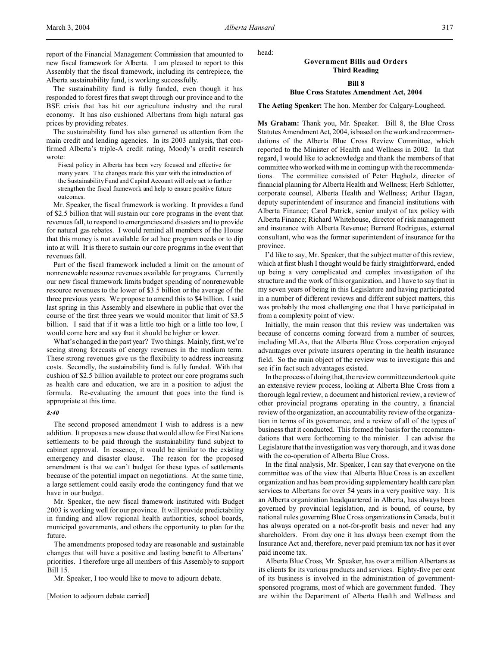report of the Financial Management Commission that amounted to new fiscal framework for Alberta. I am pleased to report to this Assembly that the fiscal framework, including its centrepiece, the Alberta sustainability fund, is working successfully.

The sustainability fund is fully funded, even though it has responded to forest fires that swept through our province and to the BSE crisis that has hit our agriculture industry and the rural economy. It has also cushioned Albertans from high natural gas prices by providing rebates.

The sustainability fund has also garnered us attention from the main credit and lending agencies. In its 2003 analysis, that confirmed Alberta's triple-A credit rating, Moody's credit research wrote:

Fiscal policy in Alberta has been very focused and effective for many years. The changes made this year with the introduction of the Sustainability Fund and Capital Account will only act to further strengthen the fiscal framework and help to ensure positive future outcomes.

Mr. Speaker, the fiscal framework is working. It provides a fund of \$2.5 billion that will sustain our core programs in the event that revenues fall, to respond to emergencies and disasters and to provide for natural gas rebates. I would remind all members of the House that this money is not available for ad hoc program needs or to dip into at will. It is there to sustain our core programs in the event that revenues fall.

Part of the fiscal framework included a limit on the amount of nonrenewable resource revenues available for programs. Currently our new fiscal framework limits budget spending of nonrenewable resource revenues to the lower of \$3.5 billion or the average of the three previous years. We propose to amend this to \$4 billion. I said last spring in this Assembly and elsewhere in public that over the course of the first three years we would monitor that limit of \$3.5 billion. I said that if it was a little too high or a little too low, I would come here and say that it should be higher or lower.

What's changed in the past year? Two things. Mainly, first, we're seeing strong forecasts of energy revenues in the medium term. These strong revenues give us the flexibility to address increasing costs. Secondly, the sustainability fund is fully funded. With that cushion of \$2.5 billion available to protect our core programs such as health care and education, we are in a position to adjust the formula. Re-evaluating the amount that goes into the fund is appropriate at this time.

### *8:40*

The second proposed amendment I wish to address is a new addition. It proposes a new clause that would allow for First Nations settlements to be paid through the sustainability fund subject to cabinet approval. In essence, it would be similar to the existing emergency and disaster clause. The reason for the proposed amendment is that we can't budget for these types of settlements because of the potential impact on negotiations. At the same time, a large settlement could easily erode the contingency fund that we have in our budget.

Mr. Speaker, the new fiscal framework instituted with Budget 2003 is working well for our province. It will provide predictability in funding and allow regional health authorities, school boards, municipal governments, and others the opportunity to plan for the future.

The amendments proposed today are reasonable and sustainable changes that will have a positive and lasting benefit to Albertans' priorities. I therefore urge all members of this Assembly to support Bill 15.

Mr. Speaker, I too would like to move to adjourn debate.

[Motion to adjourn debate carried]

# head:

# **Government Bills and Orders Third Reading**

## **Bill 8**

### **Blue Cross Statutes Amendment Act, 2004**

**The Acting Speaker:** The hon. Member for Calgary-Lougheed.

**Ms Graham:** Thank you, Mr. Speaker. Bill 8, the Blue Cross Statutes Amendment Act, 2004, is based on the work and recommendations of the Alberta Blue Cross Review Committee, which reported to the Minister of Health and Wellness in 2002. In that regard, I would like to acknowledge and thank the members of that committee who worked with me in coming up with the recommendations. The committee consisted of Peter Hegholz, director of financial planning for Alberta Health and Wellness; Herb Schlotter, corporate counsel, Alberta Health and Wellness; Arthur Hagan, deputy superintendent of insurance and financial institutions with Alberta Finance; Carol Patrick, senior analyst of tax policy with Alberta Finance; Richard Whitehouse, director of risk management and insurance with Alberta Revenue; Bernard Rodrigues, external consultant, who was the former superintendent of insurance for the province.

I'd like to say, Mr. Speaker, that the subject matter of this review, which at first blush I thought would be fairly straightforward, ended up being a very complicated and complex investigation of the structure and the work of this organization, and I have to say that in my seven years of being in this Legislature and having participated in a number of different reviews and different subject matters, this was probably the most challenging one that I have participated in from a complexity point of view.

Initially, the main reason that this review was undertaken was because of concerns coming forward from a number of sources, including MLAs, that the Alberta Blue Cross corporation enjoyed advantages over private insurers operating in the health insurance field. So the main object of the review was to investigate this and see if in fact such advantages existed.

In the process of doing that, the review committee undertook quite an extensive review process, looking at Alberta Blue Cross from a thorough legal review, a document and historical review, a review of other provincial programs operating in the country, a financial review of the organization, an accountability review of the organization in terms of its governance, and a review of all of the types of business that it conducted. This formed the basis for the recommendations that were forthcoming to the minister. I can advise the Legislature that the investigation was very thorough, and it was done with the co-operation of Alberta Blue Cross.

In the final analysis, Mr. Speaker, I can say that everyone on the committee was of the view that Alberta Blue Cross is an excellent organization and has been providing supplementary health care plan services to Albertans for over 54 years in a very positive way. It is an Alberta organization headquartered in Alberta, has always been governed by provincial legislation, and is bound, of course, by national rules governing Blue Cross organizations in Canada, but it has always operated on a not-for-profit basis and never had any shareholders. From day one it has always been exempt from the Insurance Act and, therefore, never paid premium tax nor has it ever paid income tax.

Alberta Blue Cross, Mr. Speaker, has over a million Albertans as its clients for its various products and services. Eighty-five per cent of its business is involved in the administration of governmentsponsored programs, most of which are government funded. They are within the Department of Alberta Health and Wellness and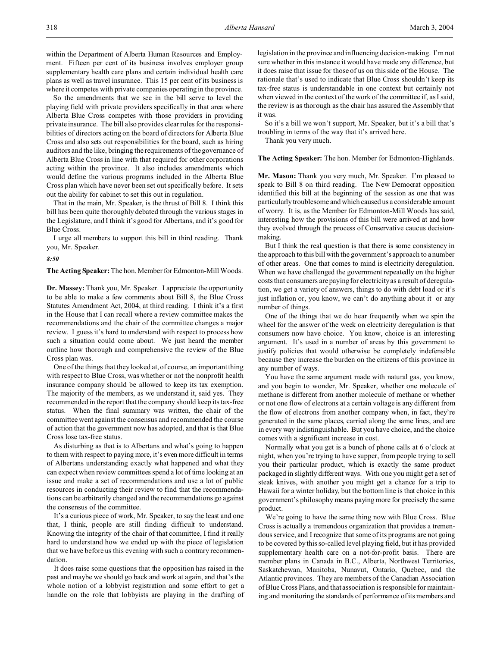within the Department of Alberta Human Resources and Employment. Fifteen per cent of its business involves employer group supplementary health care plans and certain individual health care plans as well as travel insurance. This 15 per cent of its business is where it competes with private companies operating in the province.

So the amendments that we see in the bill serve to level the playing field with private providers specifically in that area where Alberta Blue Cross competes with those providers in providing private insurance. The bill also provides clear rules for the responsibilities of directors acting on the board of directors for Alberta Blue Cross and also sets out responsibilities for the board, such as hiring auditors and the like, bringing the requirements of the governance of Alberta Blue Cross in line with that required for other corporations acting within the province. It also includes amendments which would define the various programs included in the Alberta Blue Cross plan which have never been set out specifically before. It sets out the ability for cabinet to set this out in regulation.

That in the main, Mr. Speaker, is the thrust of Bill 8. I think this bill has been quite thoroughly debated through the various stages in the Legislature, and I think it's good for Albertans, and it's good for Blue Cross.

I urge all members to support this bill in third reading. Thank you, Mr. Speaker.

*8:50*

**The Acting Speaker:** The hon. Member for Edmonton-Mill Woods.

**Dr. Massey:** Thank you, Mr. Speaker. I appreciate the opportunity to be able to make a few comments about Bill 8, the Blue Cross Statutes Amendment Act, 2004, at third reading. I think it's a first in the House that I can recall where a review committee makes the recommendations and the chair of the committee changes a major review. I guess it's hard to understand with respect to process how such a situation could come about. We just heard the member outline how thorough and comprehensive the review of the Blue Cross plan was.

One of the things that they looked at, of course, an important thing with respect to Blue Cross, was whether or not the nonprofit health insurance company should be allowed to keep its tax exemption. The majority of the members, as we understand it, said yes. They recommended in the report that the company should keep its tax-free status. When the final summary was written, the chair of the committee went against the consensus and recommended the course of action that the government now has adopted, and that is that Blue Cross lose tax-free status.

As disturbing as that is to Albertans and what's going to happen to them with respect to paying more, it's even more difficult in terms of Albertans understanding exactly what happened and what they can expect when review committees spend a lot of time looking at an issue and make a set of recommendations and use a lot of public resources in conducting their review to find that the recommendations can be arbitrarily changed and the recommendations go against the consensus of the committee.

It's a curious piece of work, Mr. Speaker, to say the least and one that, I think, people are still finding difficult to understand. Knowing the integrity of the chair of that committee, I find it really hard to understand how we ended up with the piece of legislation that we have before us this evening with such a contrary recommendation.

It does raise some questions that the opposition has raised in the past and maybe we should go back and work at again, and that's the whole notion of a lobbyist registration and some effort to get a handle on the role that lobbyists are playing in the drafting of legislation in the province and influencing decision-making. I'm not sure whether in this instance it would have made any difference, but it does raise that issue for those of us on this side of the House. The rationale that's used to indicate that Blue Cross shouldn't keep its tax-free status is understandable in one context but certainly not when viewed in the context of the work of the committee if, as I said, the review is as thorough as the chair has assured the Assembly that it was.

So it's a bill we won't support, Mr. Speaker, but it's a bill that's troubling in terms of the way that it's arrived here.

Thank you very much.

**The Acting Speaker:** The hon. Member for Edmonton-Highlands.

**Mr. Mason:** Thank you very much, Mr. Speaker. I'm pleased to speak to Bill 8 on third reading. The New Democrat opposition identified this bill at the beginning of the session as one that was particularly troublesome and which caused us a considerable amount of worry. It is, as the Member for Edmonton-Mill Woods has said, interesting how the provisions of this bill were arrived at and how they evolved through the process of Conservative caucus decisionmaking.

But I think the real question is that there is some consistency in the approach to this bill with the government's approach to a number of other areas. One that comes to mind is electricity deregulation. When we have challenged the government repeatedly on the higher costs that consumers are paying for electricity as a result of deregulation, we get a variety of answers, things to do with debt load or it's just inflation or, you know, we can't do anything about it or any number of things.

One of the things that we do hear frequently when we spin the wheel for the answer of the week on electricity deregulation is that consumers now have choice. You know, choice is an interesting argument. It's used in a number of areas by this government to justify policies that would otherwise be completely indefensible because they increase the burden on the citizens of this province in any number of ways.

You have the same argument made with natural gas, you know, and you begin to wonder, Mr. Speaker, whether one molecule of methane is different from another molecule of methane or whether or not one flow of electrons at a certain voltage is any different from the flow of electrons from another company when, in fact, they're generated in the same places, carried along the same lines, and are in every way indistinguishable. But you have choice, and the choice comes with a significant increase in cost.

Normally what you get is a bunch of phone calls at 6 o'clock at night, when you're trying to have supper, from people trying to sell you their particular product, which is exactly the same product packaged in slightly different ways. With one you might get a set of steak knives, with another you might get a chance for a trip to Hawaii for a winter holiday, but the bottom line is that choice in this government's philosophy means paying more for precisely the same product.

We're going to have the same thing now with Blue Cross. Blue Cross is actually a tremendous organization that provides a tremendous service, and I recognize that some of its programs are not going to be covered by this so-called level playing field, but it has provided supplementary health care on a not-for-profit basis. There are member plans in Canada in B.C., Alberta, Northwest Territories, Saskatchewan, Manitoba, Nunavut, Ontario, Quebec, and the Atlantic provinces. They are members of the Canadian Association of Blue Cross Plans, and that association is responsible for maintaining and monitoring the standards of performance of its members and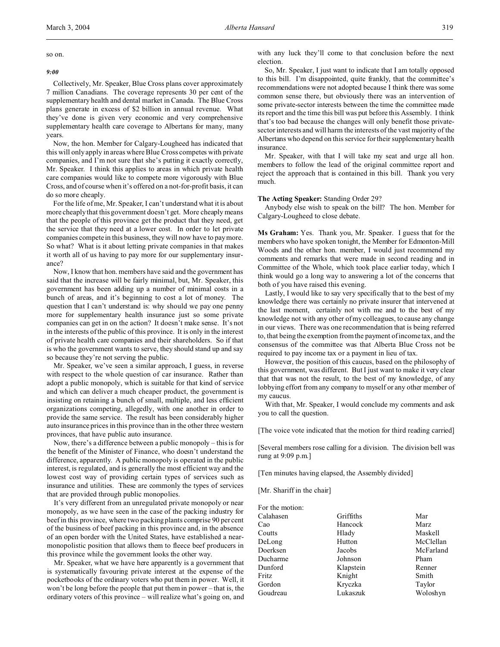March 3, 2004 *Alberta Hansard* 319

so on.

#### *9:00*

Collectively, Mr. Speaker, Blue Cross plans cover approximately 7 million Canadians. The coverage represents 30 per cent of the supplementary health and dental market in Canada. The Blue Cross plans generate in excess of \$2 billion in annual revenue. What they've done is given very economic and very comprehensive supplementary health care coverage to Albertans for many, many years.

Now, the hon. Member for Calgary-Lougheed has indicated that this will only apply in areas where Blue Cross competes with private companies, and I'm not sure that she's putting it exactly correctly, Mr. Speaker. I think this applies to areas in which private health care companies would like to compete more vigorously with Blue Cross, and of course when it's offered on a not-for-profit basis, it can do so more cheaply.

For the life of me, Mr. Speaker, I can't understand what it is about more cheaply that this government doesn't get. More cheaply means that the people of this province get the product that they need, get the service that they need at a lower cost. In order to let private companies compete in this business, they will now have to pay more. So what? What is it about letting private companies in that makes it worth all of us having to pay more for our supplementary insurance?

Now, I know that hon. members have said and the government has said that the increase will be fairly minimal, but, Mr. Speaker, this government has been adding up a number of minimal costs in a bunch of areas, and it's beginning to cost a lot of money. The question that I can't understand is: why should we pay one penny more for supplementary health insurance just so some private companies can get in on the action? It doesn't make sense. It's not in the interests of the public of this province. It is only in the interest of private health care companies and their shareholders. So if that is who the government wants to serve, they should stand up and say so because they're not serving the public.

Mr. Speaker, we've seen a similar approach, I guess, in reverse with respect to the whole question of car insurance. Rather than adopt a public monopoly, which is suitable for that kind of service and which can deliver a much cheaper product, the government is insisting on retaining a bunch of small, multiple, and less efficient organizations competing, allegedly, with one another in order to provide the same service. The result has been considerably higher auto insurance prices in this province than in the other three western provinces, that have public auto insurance.

Now, there's a difference between a public monopoly – this is for the benefit of the Minister of Finance, who doesn't understand the difference, apparently. A public monopoly is operated in the public interest, is regulated, and is generally the most efficient way and the lowest cost way of providing certain types of services such as insurance and utilities. These are commonly the types of services that are provided through public monopolies.

It's very different from an unregulated private monopoly or near monopoly, as we have seen in the case of the packing industry for beef in this province, where two packing plants comprise 90 per cent of the business of beef packing in this province and, in the absence of an open border with the United States, have established a nearmonopolistic position that allows them to fleece beef producers in this province while the government looks the other way.

Mr. Speaker, what we have here apparently is a government that is systematically favouring private interest at the expense of the pocketbooks of the ordinary voters who put them in power. Well, it won't be long before the people that put them in power – that is, the ordinary voters of this province – will realize what's going on, and

with any luck they'll come to that conclusion before the next election.

So, Mr. Speaker, I just want to indicate that I am totally opposed to this bill. I'm disappointed, quite frankly, that the committee's recommendations were not adopted because I think there was some common sense there, but obviously there was an intervention of some private-sector interests between the time the committee made its report and the time this bill was put before this Assembly. I think that's too bad because the changes will only benefit those privatesector interests and will harm the interests of the vast majority of the Albertans who depend on this service for their supplementary health insurance.

Mr. Speaker, with that I will take my seat and urge all hon. members to follow the lead of the original committee report and reject the approach that is contained in this bill. Thank you very much.

### **The Acting Speaker:** Standing Order 29?

Anybody else wish to speak on the bill? The hon. Member for Calgary-Lougheed to close debate.

**Ms Graham:** Yes. Thank you, Mr. Speaker. I guess that for the members who have spoken tonight, the Member for Edmonton-Mill Woods and the other hon. member, I would just recommend my comments and remarks that were made in second reading and in Committee of the Whole, which took place earlier today, which I think would go a long way to answering a lot of the concerns that both of you have raised this evening.

Lastly, I would like to say very specifically that to the best of my knowledge there was certainly no private insurer that intervened at the last moment, certainly not with me and to the best of my knowledge not with any other of my colleagues, to cause any change in our views. There was one recommendation that is being referred to, that being the exemption from the payment of income tax, and the consensus of the committee was that Alberta Blue Cross not be required to pay income tax or a payment in lieu of tax.

However, the position of this caucus, based on the philosophy of this government, was different. But I just want to make it very clear that that was not the result, to the best of my knowledge, of any lobbying effort from any company to myself or any other member of my caucus.

With that, Mr. Speaker, I would conclude my comments and ask you to call the question.

[The voice vote indicated that the motion for third reading carried]

[Several members rose calling for a division. The division bell was rung at 9:09 p.m.]

[Ten minutes having elapsed, the Assembly divided]

[Mr. Shariff in the chair]

| For the motion: |           |           |
|-----------------|-----------|-----------|
| Calahasen       | Griffiths | Mar       |
| Cao             | Hancock   | Marz      |
| Coutts          | Hlady     | Maskell   |
| DeLong          | Hutton    | McClellan |
| Doerksen        | Jacobs    | McFarland |
| Ducharme        | Johnson   | Pham      |
| Dunford         | Klapstein | Renner    |
| Fritz           | Knight    | Smith     |
| Gordon          | Kryczka   | Taylor    |
| Goudreau        | Lukaszuk  | Woloshyn  |
|                 |           |           |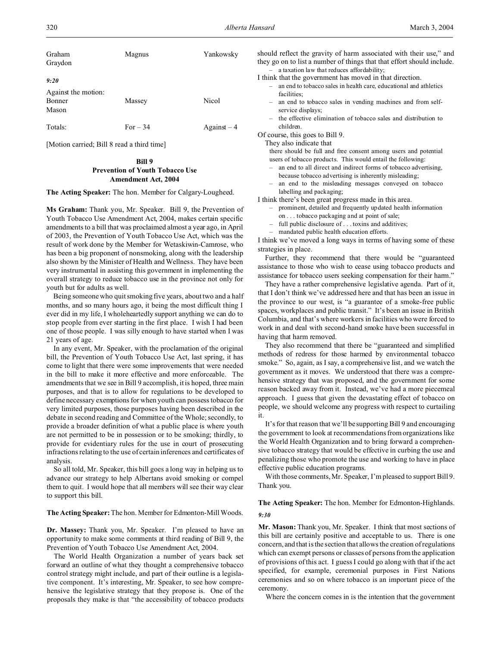| Graham<br>Graydon                                     | Magnus    | Yankowsky   |
|-------------------------------------------------------|-----------|-------------|
| 9:20<br>Against the motion:<br><b>Bonner</b><br>Mason | Massey    | Nicol       |
| Totals:                                               | For $-34$ | $Against-4$ |

[Motion carried; Bill 8 read a third time]

## **Bill 9 Prevention of Youth Tobacco Use Amendment Act, 2004**

**The Acting Speaker:** The hon. Member for Calgary-Lougheed.

**Ms Graham:** Thank you, Mr. Speaker. Bill 9, the Prevention of Youth Tobacco Use Amendment Act, 2004, makes certain specific amendments to a bill that was proclaimed almost a year ago, in April of 2003, the Prevention of Youth Tobacco Use Act, which was the result of work done by the Member for Wetaskiwin-Camrose, who has been a big proponent of nonsmoking, along with the leadership also shown by the Minister of Health and Wellness. They have been very instrumental in assisting this government in implementing the overall strategy to reduce tobacco use in the province not only for youth but for adults as well.

Being someone who quit smoking five years, about two and a half months, and so many hours ago, it being the most difficult thing I ever did in my life, I wholeheartedly support anything we can do to stop people from ever starting in the first place. I wish I had been one of those people. I was silly enough to have started when I was 21 years of age.

In any event, Mr. Speaker, with the proclamation of the original bill, the Prevention of Youth Tobacco Use Act, last spring, it has come to light that there were some improvements that were needed in the bill to make it more effective and more enforceable. The amendments that we see in Bill 9 accomplish, it is hoped, three main purposes, and that is to allow for regulations to be developed to define necessary exemptions for when youth can possess tobacco for very limited purposes, those purposes having been described in the debate in second reading and Committee of the Whole; secondly, to provide a broader definition of what a public place is where youth are not permitted to be in possession or to be smoking; thirdly, to provide for evidentiary rules for the use in court of prosecuting infractions relating to the use of certain inferences and certificates of analysis.

So all told, Mr. Speaker, this bill goes a long way in helping us to advance our strategy to help Albertans avoid smoking or compel them to quit. I would hope that all members will see their way clear to support this bill.

**The Acting Speaker:** The hon. Member for Edmonton-Mill Woods.

**Dr. Massey:** Thank you, Mr. Speaker. I'm pleased to have an opportunity to make some comments at third reading of Bill 9, the Prevention of Youth Tobacco Use Amendment Act, 2004.

The World Health Organization a number of years back set forward an outline of what they thought a comprehensive tobacco control strategy might include, and part of their outline is a legislative component. It's interesting, Mr. Speaker, to see how comprehensive the legislative strategy that they propose is. One of the proposals they make is that "the accessibility of tobacco products

should reflect the gravity of harm associated with their use," and they go on to list a number of things that that effort should include. – a taxation law that reduces affordability;

I think that the government has moved in that direction.

- an end to tobacco sales in health care, educational and athletics facilities;
- an end to tobacco sales in vending machines and from selfservice displays;
- the effective elimination of tobacco sales and distribution to children.

Of course, this goes to Bill 9.

They also indicate that

there should be full and free consent among users and potential

- users of tobacco products. This would entail the following: – an end to all direct and indirect forms of tobacco advertising, because tobacco advertising is inherently misleading;
- an end to the misleading messages conveyed on tobacco labelling and packaging;

I think there's been great progress made in this area.

- prominent, detailed and frequently updated health information on . . . tobacco packaging and at point of sale;
- full public disclosure of . . . toxins and additives;
- mandated public health education efforts.

I think we've moved a long ways in terms of having some of these strategies in place.

Further, they recommend that there would be "guaranteed assistance to those who wish to cease using tobacco products and assistance for tobacco users seeking compensation for their harm."

They have a rather comprehensive legislative agenda. Part of it, that I don't think we've addressed here and that has been an issue in the province to our west, is "a guarantee of a smoke-free public spaces, workplaces and public transit." It's been an issue in British Columbia, and that's where workers in facilities who were forced to work in and deal with second-hand smoke have been successful in having that harm removed.

They also recommend that there be "guaranteed and simplified methods of redress for those harmed by environmental tobacco smoke." So, again, as I say, a comprehensive list, and we watch the government as it moves. We understood that there was a comprehensive strategy that was proposed, and the government for some reason backed away from it. Instead, we've had a more piecemeal approach. I guess that given the devastating effect of tobacco on people, we should welcome any progress with respect to curtailing it.

It's for that reason that we'll be supporting Bill 9 and encouraging the government to look at recommendations from organizations like the World Health Organization and to bring forward a comprehensive tobacco strategy that would be effective in curbing the use and penalizing those who promote the use and working to have in place effective public education programs.

With those comments, Mr. Speaker, I'm pleased to support Bill 9. Thank you.

# **The Acting Speaker:** The hon. Member for Edmonton-Highlands. *9:30*

**Mr. Mason:** Thank you, Mr. Speaker. I think that most sections of this bill are certainly positive and acceptable to us. There is one concern, and that is the section that allows the creation of regulations which can exempt persons or classes of persons from the application of provisions of this act. I guess I could go along with that if the act specified, for example, ceremonial purposes in First Nations ceremonies and so on where tobacco is an important piece of the ceremony.

Where the concern comes in is the intention that the government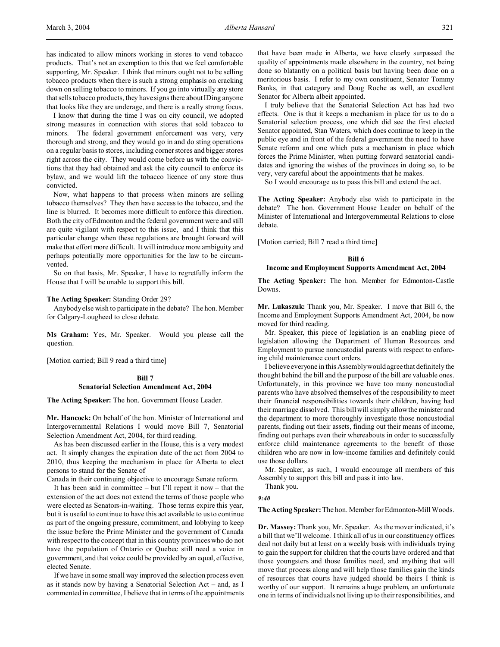has indicated to allow minors working in stores to vend tobacco products. That's not an exemption to this that we feel comfortable supporting, Mr. Speaker. I think that minors ought not to be selling tobacco products when there is such a strong emphasis on cracking down on selling tobacco to minors. If you go into virtually any store that sells tobacco products, they have signs there about IDing anyone that looks like they are underage, and there is a really strong focus.

I know that during the time I was on city council, we adopted strong measures in connection with stores that sold tobacco to minors. The federal government enforcement was very, very thorough and strong, and they would go in and do sting operations on a regular basis to stores, including corner stores and bigger stores right across the city. They would come before us with the convictions that they had obtained and ask the city council to enforce its bylaw, and we would lift the tobacco licence of any store thus convicted.

Now, what happens to that process when minors are selling tobacco themselves? They then have access to the tobacco, and the line is blurred. It becomes more difficult to enforce this direction. Both the city of Edmonton and the federal government were and still are quite vigilant with respect to this issue, and I think that this particular change when these regulations are brought forward will make that effort more difficult. It will introduce more ambiguity and perhaps potentially more opportunities for the law to be circumvented.

So on that basis, Mr. Speaker, I have to regretfully inform the House that I will be unable to support this bill.

### **The Acting Speaker:** Standing Order 29?

Anybody else wish to participate in the debate? The hon. Member for Calgary-Lougheed to close debate.

**Ms Graham:** Yes, Mr. Speaker. Would you please call the question.

[Motion carried; Bill 9 read a third time]

### **Bill 7**

### **Senatorial Selection Amendment Act, 2004**

**The Acting Speaker:** The hon. Government House Leader.

**Mr. Hancock:** On behalf of the hon. Minister of International and Intergovernmental Relations I would move Bill 7, Senatorial Selection Amendment Act, 2004, for third reading.

As has been discussed earlier in the House, this is a very modest act. It simply changes the expiration date of the act from 2004 to 2010, thus keeping the mechanism in place for Alberta to elect persons to stand for the Senate of

Canada in their continuing objective to encourage Senate reform.

It has been said in committee – but I'll repeat it now – that the extension of the act does not extend the terms of those people who were elected as Senators-in-waiting. Those terms expire this year, but it is useful to continue to have this act available to us to continue as part of the ongoing pressure, commitment, and lobbying to keep the issue before the Prime Minister and the government of Canada with respect to the concept that in this country provinces who do not have the population of Ontario or Quebec still need a voice in government, and that voice could be provided by an equal, effective, elected Senate.

If we have in some small way improved the selection process even as it stands now by having a Senatorial Selection Act – and, as I commented in committee, I believe that in terms of the appointments

that have been made in Alberta, we have clearly surpassed the quality of appointments made elsewhere in the country, not being done so blatantly on a political basis but having been done on a meritorious basis. I refer to my own constituent, Senator Tommy Banks, in that category and Doug Roche as well, an excellent Senator for Alberta albeit appointed.

I truly believe that the Senatorial Selection Act has had two effects. One is that it keeps a mechanism in place for us to do a Senatorial selection process, one which did see the first elected Senator appointed, Stan Waters, which does continue to keep in the public eye and in front of the federal government the need to have Senate reform and one which puts a mechanism in place which forces the Prime Minister, when putting forward senatorial candidates and ignoring the wishes of the provinces in doing so, to be very, very careful about the appointments that he makes.

So I would encourage us to pass this bill and extend the act.

**The Acting Speaker:** Anybody else wish to participate in the debate? The hon. Government House Leader on behalf of the Minister of International and Intergovernmental Relations to close debate.

[Motion carried; Bill 7 read a third time]

## **Bill 6**

### **Income and Employment Supports Amendment Act, 2004**

**The Acting Speaker:** The hon. Member for Edmonton-Castle Downs.

**Mr. Lukaszuk:** Thank you, Mr. Speaker. I move that Bill 6, the Income and Employment Supports Amendment Act, 2004, be now moved for third reading.

Mr. Speaker, this piece of legislation is an enabling piece of legislation allowing the Department of Human Resources and Employment to pursue noncustodial parents with respect to enforcing child maintenance court orders.

I believe everyone in this Assembly would agree that definitely the thought behind the bill and the purpose of the bill are valuable ones. Unfortunately, in this province we have too many noncustodial parents who have absolved themselves of the responsibility to meet their financial responsibilities towards their children, having had their marriage dissolved. This bill will simply allow the minister and the department to more thoroughly investigate those noncustodial parents, finding out their assets, finding out their means of income, finding out perhaps even their whereabouts in order to successfully enforce child maintenance agreements to the benefit of those children who are now in low-income families and definitely could use those dollars.

Mr. Speaker, as such, I would encourage all members of this Assembly to support this bill and pass it into law.

Thank you.

*9:40*

#### **The Acting Speaker:** The hon. Member for Edmonton-Mill Woods.

**Dr. Massey:** Thank you, Mr. Speaker. As the mover indicated, it's a bill that we'll welcome. I think all of us in our constituency offices deal not daily but at least on a weekly basis with individuals trying to gain the support for children that the courts have ordered and that those youngsters and those families need, and anything that will move that process along and will help those families gain the kinds of resources that courts have judged should be theirs I think is worthy of our support. It remains a huge problem, an unfortunate one in terms of individuals not living up to their responsibilities, and